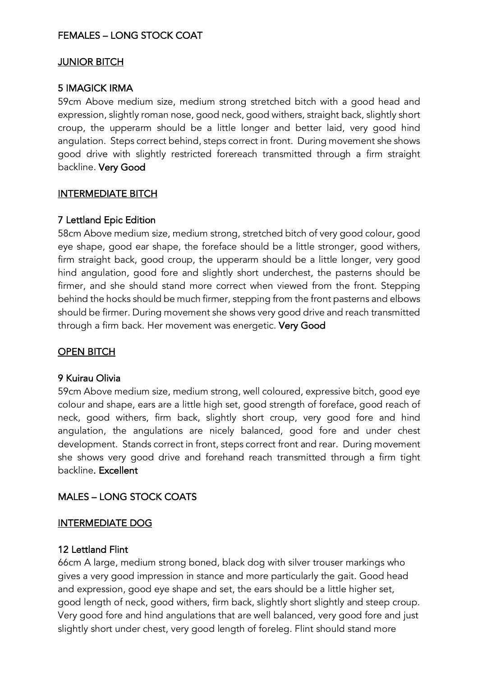# FEMALES – LONG STOCK COAT

### **JUNIOR BITCH**

#### 5 IMAGICK IRMA

59cm Above medium size, medium strong stretched bitch with a good head and expression, slightly roman nose, good neck, good withers, straight back, slightly short croup, the upperarm should be a little longer and better laid, very good hind angulation. Steps correct behind, steps correct in front. During movement she shows good drive with slightly restricted forereach transmitted through a firm straight backline. Very Good

### INTERMEDIATE BITCH

#### 7 Lettland Epic Edition

58cm Above medium size, medium strong, stretched bitch of very good colour, good eye shape, good ear shape, the foreface should be a little stronger, good withers, firm straight back, good croup, the upperarm should be a little longer, very good hind angulation, good fore and slightly short underchest, the pasterns should be firmer, and she should stand more correct when viewed from the front. Stepping behind the hocks should be much firmer, stepping from the front pasterns and elbows should be firmer. During movement she shows very good drive and reach transmitted through a firm back. Her movement was energetic. Very Good

### OPEN BITCH

#### 9 Kuirau Olivia

59cm Above medium size, medium strong, well coloured, expressive bitch, good eye colour and shape, ears are a little high set, good strength of foreface, good reach of neck, good withers, firm back, slightly short croup, very good fore and hind angulation, the angulations are nicely balanced, good fore and under chest development. Stands correct in front, steps correct front and rear. During movement she shows very good drive and forehand reach transmitted through a firm tight backline. Excellent

### MALES – LONG STOCK COATS

#### INTERMEDIATE DOG

#### 12 Lettland Flint

66cm A large, medium strong boned, black dog with silver trouser markings who gives a very good impression in stance and more particularly the gait. Good head and expression, good eye shape and set, the ears should be a little higher set, good length of neck, good withers, firm back, slightly short slightly and steep croup. Very good fore and hind angulations that are well balanced, very good fore and just slightly short under chest, very good length of foreleg. Flint should stand more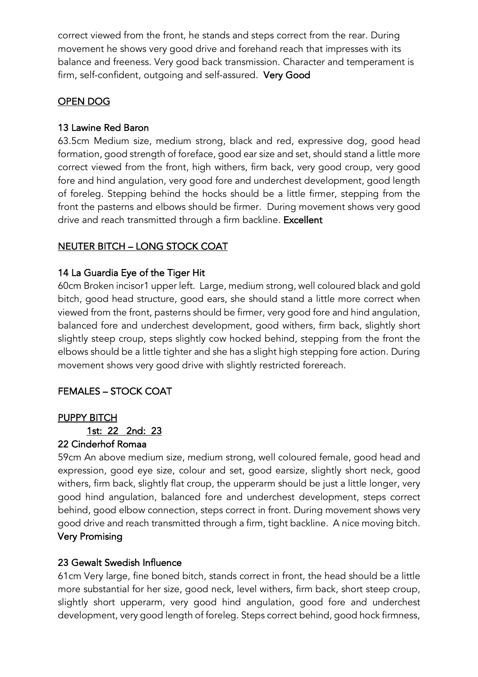correct viewed from the front, he stands and steps correct from the rear. During movement he shows very good drive and forehand reach that impresses with its balance and freeness. Very good back transmission. Character and temperament is firm, self-confident, outgoing and self-assured. Very Good

# OPEN DOG

## 13 Lawine Red Baron

63.5cm Medium size, medium strong, black and red, expressive dog, good head formation, good strength of foreface, good ear size and set, should stand a little more correct viewed from the front, high withers, firm back, very good croup, very good fore and hind angulation, very good fore and underchest development, good length of foreleg. Stepping behind the hocks should be a little firmer, stepping from the front the pasterns and elbows should be firmer. During movement shows very good drive and reach transmitted through a firm backline. Excellent

# NEUTER BITCH – LONG STOCK COAT

# 14 La Guardia Eye of the Tiger Hit

60cm Broken incisor1 upper left. Large, medium strong, well coloured black and gold bitch, good head structure, good ears, she should stand a little more correct when viewed from the front, pasterns should be firmer, very good fore and hind angulation, balanced fore and underchest development, good withers, firm back, slightly short slightly steep croup, steps slightly cow hocked behind, stepping from the front the elbows should be a little tighter and she has a slight high stepping fore action. During movement shows very good drive with slightly restricted forereach.

# FEMALES – STOCK COAT

## PUPPY BITCH

1st: 22 2nd: 23

### 22 Cinderhof Romaa

59cm An above medium size, medium strong, well coloured female, good head and expression, good eye size, colour and set, good earsize, slightly short neck, good withers, firm back, slightly flat croup, the upperarm should be just a little longer, very good hind angulation, balanced fore and underchest development, steps correct behind, good elbow connection, steps correct in front. During movement shows very good drive and reach transmitted through a firm, tight backline. A nice moving bitch. Very Promising

### 23 Gewalt Swedish Influence

61cm Very large, fine boned bitch, stands correct in front, the head should be a little more substantial for her size, good neck, level withers, firm back, short steep croup, slightly short upperarm, very good hind angulation, good fore and underchest development, very good length of foreleg. Steps correct behind, good hock firmness,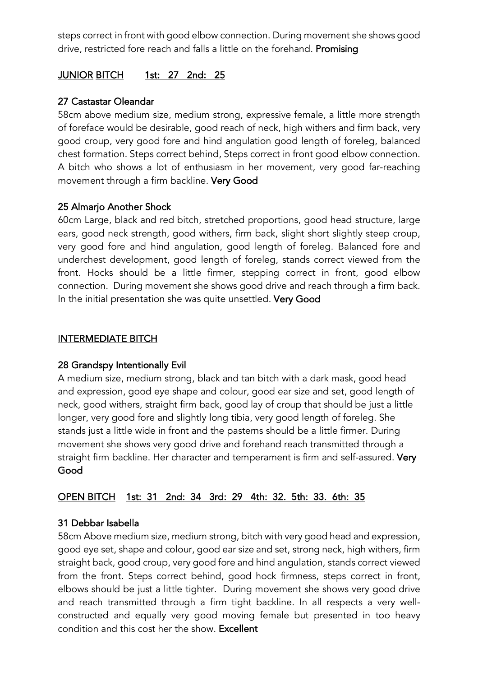steps correct in front with good elbow connection. During movement she shows good drive, restricted fore reach and falls a little on the forehand. Promising

## JUNIOR BITCH 1st: 27 2nd: 25

### 27 Castastar Oleandar

58cm above medium size, medium strong, expressive female, a little more strength of foreface would be desirable, good reach of neck, high withers and firm back, very good croup, very good fore and hind angulation good length of foreleg, balanced chest formation. Steps correct behind, Steps correct in front good elbow connection. A bitch who shows a lot of enthusiasm in her movement, very good far-reaching movement through a firm backline. Very Good

## 25 Almarjo Another Shock

60cm Large, black and red bitch, stretched proportions, good head structure, large ears, good neck strength, good withers, firm back, slight short slightly steep croup, very good fore and hind angulation, good length of foreleg. Balanced fore and underchest development, good length of foreleg, stands correct viewed from the front. Hocks should be a little firmer, stepping correct in front, good elbow connection. During movement she shows good drive and reach through a firm back. In the initial presentation she was quite unsettled. Very Good

## INTERMEDIATE BITCH

### 28 Grandspy Intentionally Evil

A medium size, medium strong, black and tan bitch with a dark mask, good head and expression, good eye shape and colour, good ear size and set, good length of neck, good withers, straight firm back, good lay of croup that should be just a little longer, very good fore and slightly long tibia, very good length of foreleg. She stands just a little wide in front and the pasterns should be a little firmer. During movement she shows very good drive and forehand reach transmitted through a straight firm backline. Her character and temperament is firm and self-assured. Very Good

# OPEN BITCH 1st: 31 2nd: 34 3rd: 29 4th: 32. 5th: 33. 6th: 35

### 31 Debbar Isabella

58cm Above medium size, medium strong, bitch with very good head and expression, good eye set, shape and colour, good ear size and set, strong neck, high withers, firm straight back, good croup, very good fore and hind angulation, stands correct viewed from the front. Steps correct behind, good hock firmness, steps correct in front, elbows should be just a little tighter. During movement she shows very good drive and reach transmitted through a firm tight backline. In all respects a very wellconstructed and equally very good moving female but presented in too heavy condition and this cost her the show. Excellent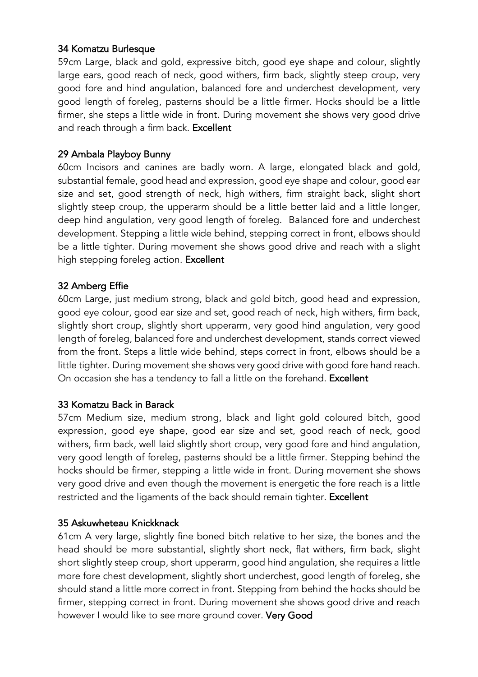### 34 Komatzu Burlesque

59cm Large, black and gold, expressive bitch, good eye shape and colour, slightly large ears, good reach of neck, good withers, firm back, slightly steep croup, very good fore and hind angulation, balanced fore and underchest development, very good length of foreleg, pasterns should be a little firmer. Hocks should be a little firmer, she steps a little wide in front. During movement she shows very good drive and reach through a firm back. Excellent

# 29 Ambala Playboy Bunny

60cm Incisors and canines are badly worn. A large, elongated black and gold, substantial female, good head and expression, good eye shape and colour, good ear size and set, good strength of neck, high withers, firm straight back, slight short slightly steep croup, the upperarm should be a little better laid and a little longer, deep hind angulation, very good length of foreleg. Balanced fore and underchest development. Stepping a little wide behind, stepping correct in front, elbows should be a little tighter. During movement she shows good drive and reach with a slight high stepping foreleg action. Excellent

## 32 Amberg Effie

60cm Large, just medium strong, black and gold bitch, good head and expression, good eye colour, good ear size and set, good reach of neck, high withers, firm back, slightly short croup, slightly short upperarm, very good hind angulation, very good length of foreleg, balanced fore and underchest development, stands correct viewed from the front. Steps a little wide behind, steps correct in front, elbows should be a little tighter. During movement she shows very good drive with good fore hand reach. On occasion she has a tendency to fall a little on the forehand. Excellent

### 33 Komatzu Back in Barack

57cm Medium size, medium strong, black and light gold coloured bitch, good expression, good eye shape, good ear size and set, good reach of neck, good withers, firm back, well laid slightly short croup, very good fore and hind angulation, very good length of foreleg, pasterns should be a little firmer. Stepping behind the hocks should be firmer, stepping a little wide in front. During movement she shows very good drive and even though the movement is energetic the fore reach is a little restricted and the ligaments of the back should remain tighter. Excellent

### 35 Askuwheteau Knickknack

61cm A very large, slightly fine boned bitch relative to her size, the bones and the head should be more substantial, slightly short neck, flat withers, firm back, slight short slightly steep croup, short upperarm, good hind angulation, she requires a little more fore chest development, slightly short underchest, good length of foreleg, she should stand a little more correct in front. Stepping from behind the hocks should be firmer, stepping correct in front. During movement she shows good drive and reach however I would like to see more ground cover. Very Good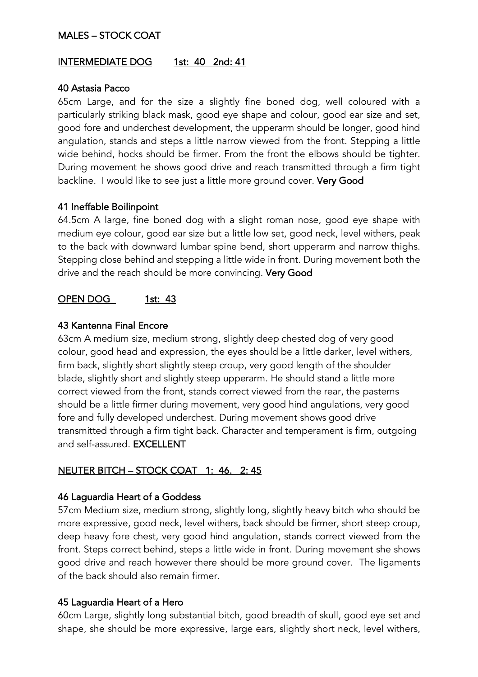### MALES – STOCK COAT

### INTERMEDIATE DOG 1st: 40 2nd: 41

### 40 Astasia Pacco

65cm Large, and for the size a slightly fine boned dog, well coloured with a particularly striking black mask, good eye shape and colour, good ear size and set, good fore and underchest development, the upperarm should be longer, good hind angulation, stands and steps a little narrow viewed from the front. Stepping a little wide behind, hocks should be firmer. From the front the elbows should be tighter. During movement he shows good drive and reach transmitted through a firm tight backline. I would like to see just a little more ground cover. Very Good

### 41 Ineffable Boilinpoint

64.5cm A large, fine boned dog with a slight roman nose, good eye shape with medium eye colour, good ear size but a little low set, good neck, level withers, peak to the back with downward lumbar spine bend, short upperarm and narrow thighs. Stepping close behind and stepping a little wide in front. During movement both the drive and the reach should be more convincing. Very Good

### OPEN DOG 1st: 43

### 43 Kantenna Final Encore

63cm A medium size, medium strong, slightly deep chested dog of very good colour, good head and expression, the eyes should be a little darker, level withers, firm back, slightly short slightly steep croup, very good length of the shoulder blade, slightly short and slightly steep upperarm. He should stand a little more correct viewed from the front, stands correct viewed from the rear, the pasterns should be a little firmer during movement, very good hind angulations, very good fore and fully developed underchest. During movement shows good drive transmitted through a firm tight back. Character and temperament is firm, outgoing and self-assured. EXCELLENT

# NEUTER BITCH – STOCK COAT 1: 46. 2: 45

#### 46 Laguardia Heart of a Goddess

57cm Medium size, medium strong, slightly long, slightly heavy bitch who should be more expressive, good neck, level withers, back should be firmer, short steep croup, deep heavy fore chest, very good hind angulation, stands correct viewed from the front. Steps correct behind, steps a little wide in front. During movement she shows good drive and reach however there should be more ground cover. The ligaments of the back should also remain firmer.

### 45 Laguardia Heart of a Hero

60cm Large, slightly long substantial bitch, good breadth of skull, good eye set and shape, she should be more expressive, large ears, slightly short neck, level withers,